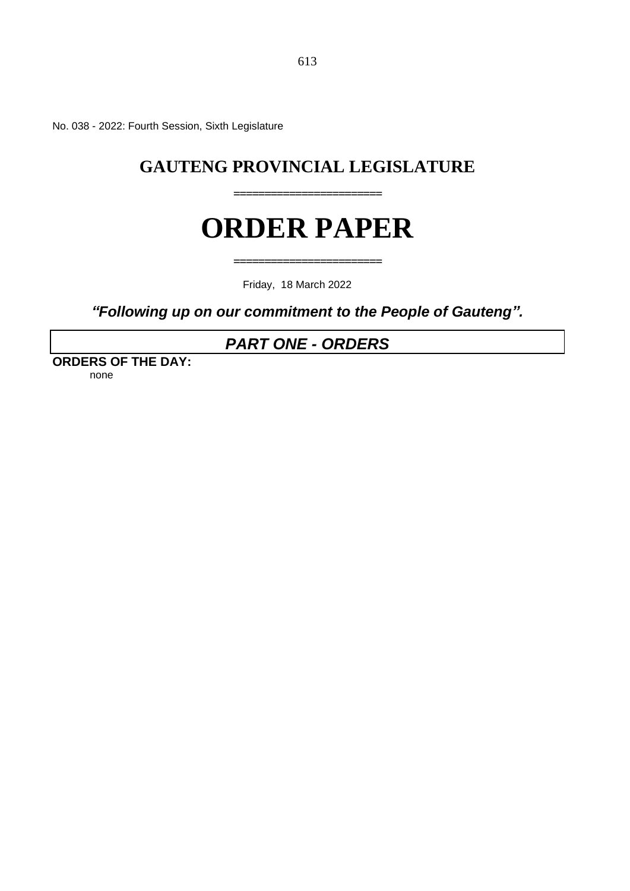No. 038 - 2022: Fourth Session, Sixth Legislature

# **GAUTENG PROVINCIAL LEGISLATURE**

**========================**

# **ORDER PAPER**

**========================**

Friday, 18 March 2022

*"Following up on our commitment to the People of Gauteng".*

# *PART ONE - ORDERS*

**ORDERS OF THE DAY:** none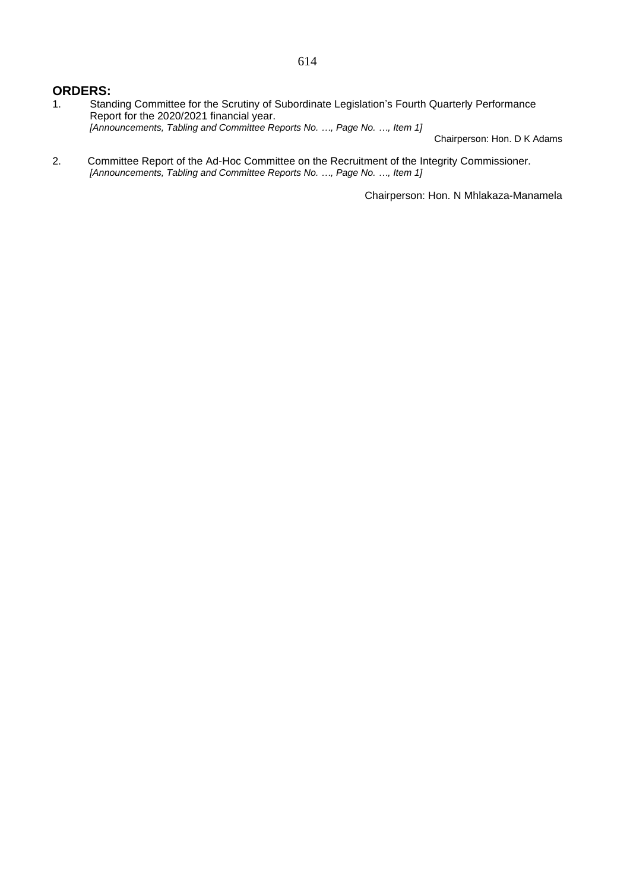### **ORDERS:**

- 1. Standing Committee for the Scrutiny of Subordinate Legislation's Fourth Quarterly Performance Report for the 2020/2021 financial year. *[Announcements, Tabling and Committee Reports No. …, Page No. …, Item 1]* Chairperson: Hon. D K Adams
- 2. Committee Report of the Ad-Hoc Committee on the Recruitment of the Integrity Commissioner. *[Announcements, Tabling and Committee Reports No. …, Page No. …, Item 1]*

Chairperson: Hon. N Mhlakaza-Manamela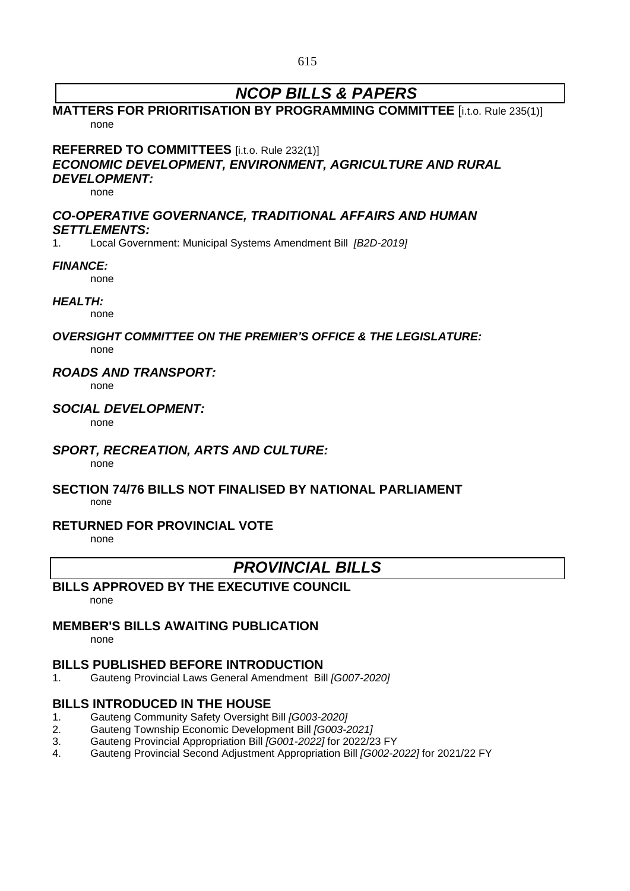# *NCOP BILLS & PAPERS*

### **MATTERS FOR PRIORITISATION BY PROGRAMMING COMMITTEE** [i.t.o. Rule 235(1)] none

**REFERRED TO COMMITTEES** [i.t.o. Rule 232(1)]

### *ECONOMIC DEVELOPMENT, ENVIRONMENT, AGRICULTURE AND RURAL DEVELOPMENT:*

none

### *CO-OPERATIVE GOVERNANCE, TRADITIONAL AFFAIRS AND HUMAN SETTLEMENTS:*

1. Local Government: Municipal Systems Amendment Bill *[B2D-2019]*

### *FINANCE:*

none

### *HEALTH:*

none

#### *OVERSIGHT COMMITTEE ON THE PREMIER'S OFFICE & THE LEGISLATURE:* none

### *ROADS AND TRANSPORT:*

none

### *SOCIAL DEVELOPMENT:*

none

### *SPORT, RECREATION, ARTS AND CULTURE:*

none

### **SECTION 74/76 BILLS NOT FINALISED BY NATIONAL PARLIAMENT**

none

### **RETURNED FOR PROVINCIAL VOTE**

none

### *PROVINCIAL BILLS*

### **BILLS APPROVED BY THE EXECUTIVE COUNCIL**

none

### **MEMBER'S BILLS AWAITING PUBLICATION**

none

### **BILLS PUBLISHED BEFORE INTRODUCTION**

1. Gauteng Provincial Laws General Amendment Bill *[G007-2020]*

### **BILLS INTRODUCED IN THE HOUSE**

- 1. Gauteng Community Safety Oversight Bill *[G003-2020]*
- 2. Gauteng Township Economic Development Bill *[G003-2021]*
- 3. Gauteng Provincial Appropriation Bill *[G001-2022]* for 2022/23 FY
- 4. Gauteng Provincial Second Adjustment Appropriation Bill *[G002-2022]* for 2021/22 FY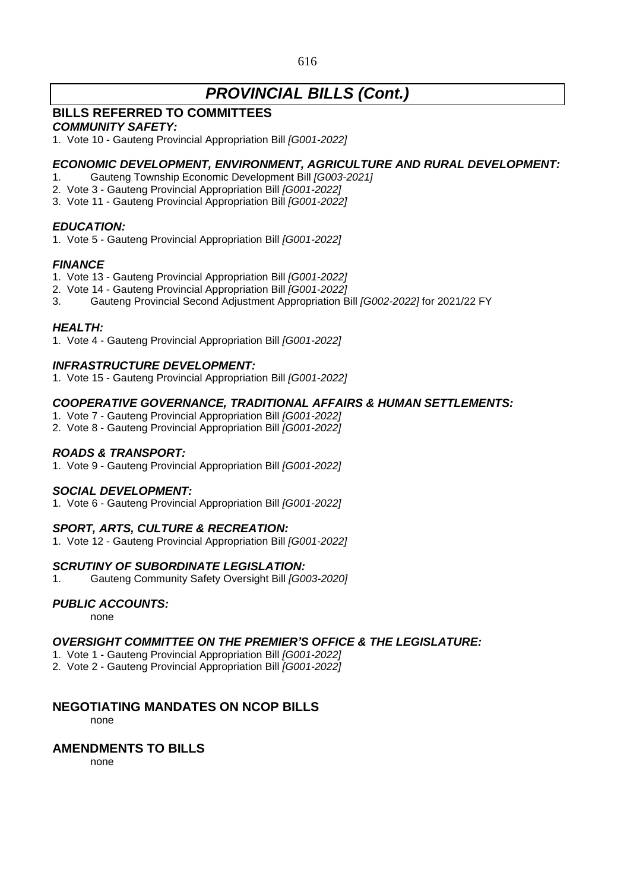### 616

# *PROVINCIAL BILLS (Cont.)*

### **BILLS REFERRED TO COMMITTEES**

### *COMMUNITY SAFETY:*

1. Vote 10 - Gauteng Provincial Appropriation Bill *[G001-2022]*

### *ECONOMIC DEVELOPMENT, ENVIRONMENT, AGRICULTURE AND RURAL DEVELOPMENT:*

- 1. Gauteng Township Economic Development Bill *[G003-2021]*
- 2. Vote 3 Gauteng Provincial Appropriation Bill *[G001-2022]*
- 3. Vote 11 Gauteng Provincial Appropriation Bill *[G001-2022]*

### *EDUCATION:*

1. Vote 5 - Gauteng Provincial Appropriation Bill *[G001-2022]*

### *FINANCE*

- 1. Vote 13 Gauteng Provincial Appropriation Bill *[G001-2022]*
- 2. Vote 14 Gauteng Provincial Appropriation Bill *[G001-2022]*
- 3. Gauteng Provincial Second Adjustment Appropriation Bill *[G002-2022]* for 2021/22 FY

### *HEALTH:*

1. Vote 4 - Gauteng Provincial Appropriation Bill *[G001-2022]*

### *INFRASTRUCTURE DEVELOPMENT:*

1. Vote 15 - Gauteng Provincial Appropriation Bill *[G001-2022]*

### *COOPERATIVE GOVERNANCE, TRADITIONAL AFFAIRS & HUMAN SETTLEMENTS:*

- 1. Vote 7 Gauteng Provincial Appropriation Bill *[G001-2022]*
- 2. Vote 8 Gauteng Provincial Appropriation Bill *[G001-2022]*

### *ROADS & TRANSPORT:*

1. Vote 9 - Gauteng Provincial Appropriation Bill *[G001-2022]*

### *SOCIAL DEVELOPMENT:*

1. Vote 6 - Gauteng Provincial Appropriation Bill *[G001-2022]*

### *SPORT, ARTS, CULTURE & RECREATION:*

1. Vote 12 - Gauteng Provincial Appropriation Bill *[G001-2022]*

### *SCRUTINY OF SUBORDINATE LEGISLATION:*

1. Gauteng Community Safety Oversight Bill *[G003-2020]*

### *PUBLIC ACCOUNTS:*

none

### *OVERSIGHT COMMITTEE ON THE PREMIER'S OFFICE & THE LEGISLATURE:*

- 1. Vote 1 Gauteng Provincial Appropriation Bill *[G001-2022]*
- 2. Vote 2 Gauteng Provincial Appropriation Bill *[G001-2022]*

### **NEGOTIATING MANDATES ON NCOP BILLS**

none

### **AMENDMENTS TO BILLS**

none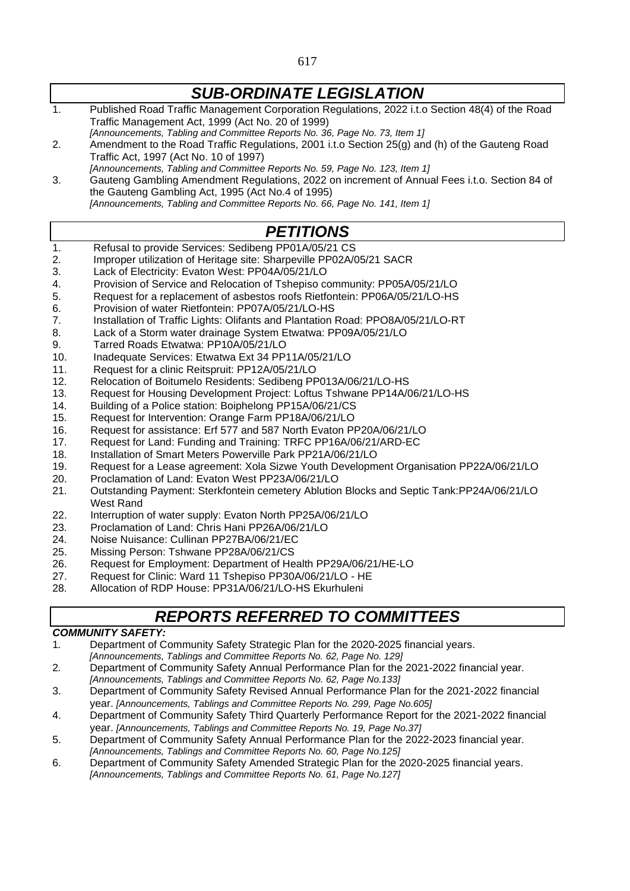| ٠<br>×<br>v.<br>v |
|-------------------|
|-------------------|

| <b>SUB-ORDINATE LEGISLATION</b> |                                                                                                                                                                                                                         |  |
|---------------------------------|-------------------------------------------------------------------------------------------------------------------------------------------------------------------------------------------------------------------------|--|
| $\overline{1}$ .                | Published Road Traffic Management Corporation Regulations, 2022 i.t.o Section 48(4) of the Road<br>Traffic Management Act, 1999 (Act No. 20 of 1999)                                                                    |  |
| 2.                              | [Announcements, Tabling and Committee Reports No. 36, Page No. 73, Item 1]<br>Amendment to the Road Traffic Regulations, 2001 i.t.o Section 25(g) and (h) of the Gauteng Road<br>Traffic Act, 1997 (Act No. 10 of 1997) |  |
|                                 | [Announcements, Tabling and Committee Reports No. 59, Page No. 123, Item 1]                                                                                                                                             |  |
| 3.                              | Gauteng Gambling Amendment Regulations, 2022 on increment of Annual Fees i.t.o. Section 84 of<br>the Gauteng Gambling Act, 1995 (Act No.4 of 1995)                                                                      |  |
|                                 | [Announcements, Tabling and Committee Reports No. 66, Page No. 141, Item 1]                                                                                                                                             |  |
|                                 | <b>PETITIONS</b>                                                                                                                                                                                                        |  |
| 1.                              | Refusal to provide Services: Sedibeng PP01A/05/21 CS                                                                                                                                                                    |  |
| 2.                              | Improper utilization of Heritage site: Sharpeville PP02A/05/21 SACR                                                                                                                                                     |  |
| 3.                              | Lack of Electricity: Evaton West: PP04A/05/21/LO                                                                                                                                                                        |  |
| 4.                              | Provision of Service and Relocation of Tshepiso community: PP05A/05/21/LO                                                                                                                                               |  |
| 5.                              | Request for a replacement of asbestos roofs Rietfontein: PP06A/05/21/LO-HS                                                                                                                                              |  |
| 6.                              | Provision of water Rietfontein: PP07A/05/21/LO-HS                                                                                                                                                                       |  |
| 7.                              | Installation of Traffic Lights: Olifants and Plantation Road: PPO8A/05/21/LO-RT                                                                                                                                         |  |
| 8.                              | Lack of a Storm water drainage System Etwatwa: PP09A/05/21/LO                                                                                                                                                           |  |
| 9.                              | Tarred Roads Etwatwa: PP10A/05/21/LO                                                                                                                                                                                    |  |
| 10.                             | Inadequate Services: Etwatwa Ext 34 PP11A/05/21/LO                                                                                                                                                                      |  |
| 11.                             | Request for a clinic Reitspruit: PP12A/05/21/LO                                                                                                                                                                         |  |
| 12.                             | Relocation of Boitumelo Residents: Sedibeng PP013A/06/21/LO-HS                                                                                                                                                          |  |
| 13.                             | Request for Housing Development Project: Loftus Tshwane PP14A/06/21/LO-HS                                                                                                                                               |  |
| 14.                             | Building of a Police station: Boiphelong PP15A/06/21/CS                                                                                                                                                                 |  |
| 15.                             | Request for Intervention: Orange Farm PP18A/06/21/LO                                                                                                                                                                    |  |
| 16.                             | Request for assistance: Erf 577 and 587 North Evaton PP20A/06/21/LO                                                                                                                                                     |  |
| 17.                             | Request for Land: Funding and Training: TRFC PP16A/06/21/ARD-EC                                                                                                                                                         |  |
| 18.                             | Installation of Smart Meters Powerville Park PP21A/06/21/LO                                                                                                                                                             |  |
| 19.<br>20.                      | Request for a Lease agreement: Xola Sizwe Youth Development Organisation PP22A/06/21/LO<br>Proclamation of Land: Evaton West PP23A/06/21/LO                                                                             |  |
| 21.                             | Outstanding Payment: Sterkfontein cemetery Ablution Blocks and Septic Tank:PP24A/06/21/LO                                                                                                                               |  |
|                                 | <b>West Rand</b>                                                                                                                                                                                                        |  |

- 22. Interruption of water supply: Evaton North PP25A/06/21/LO
- 23. Proclamation of Land: Chris Hani PP26A/06/21/LO
- 24. Noise Nuisance: Cullinan PP27BA/06/21/EC
- 25. Missing Person: Tshwane PP28A/06/21/CS
- 26. Request for Employment: Department of Health PP29A/06/21/HE-LO
- 27. Request for Clinic: Ward 11 Tshepiso PP30A/06/21/LO HE
- 28. Allocation of RDP House: PP31A/06/21/LO-HS Ekurhuleni

# *REPORTS REFERRED TO COMMITTEES*

### *COMMUNITY SAFETY:*

- 1*.* Department of Community Safety Strategic Plan for the 2020-2025 financial years.
- *[Announcements, Tablings and Committee Reports No. 62, Page No. 129]*
- 2*.* Department of Community Safety Annual Performance Plan for the 2021-2022 financial year. *[Announcements, Tablings and Committee Reports No. 62, Page No.133]*
- 3. Department of Community Safety Revised Annual Performance Plan for the 2021-2022 financial year. *[Announcements, Tablings and Committee Reports No. 299, Page No.605]*
- 4. Department of Community Safety Third Quarterly Performance Report for the 2021-2022 financial year. *[Announcements, Tablings and Committee Reports No. 19, Page No.37]*
- 5. Department of Community Safety Annual Performance Plan for the 2022-2023 financial year. *[Announcements, Tablings and Committee Reports No. 60, Page No.125]*
- 6. Department of Community Safety Amended Strategic Plan for the 2020-2025 financial years. *[Announcements, Tablings and Committee Reports No. 61, Page No.127]*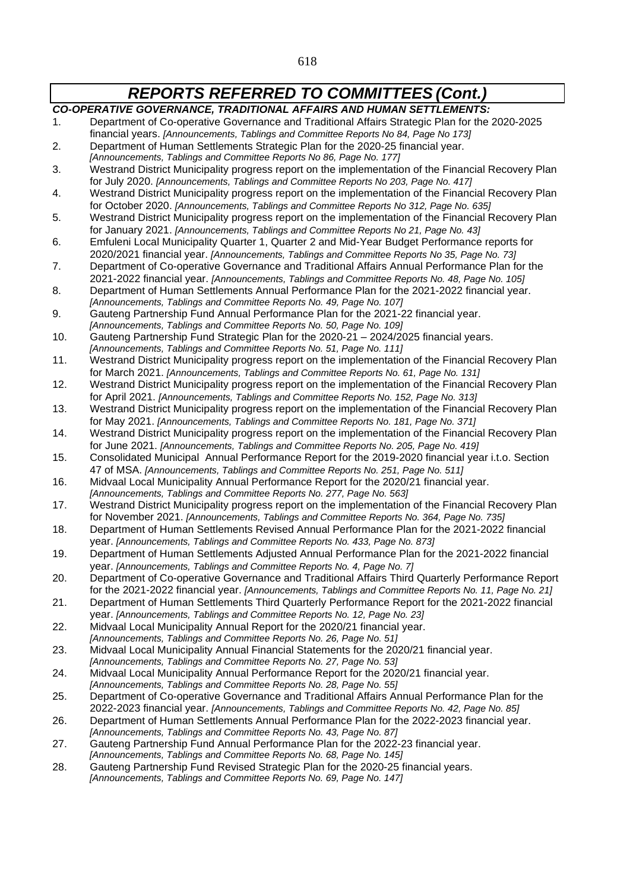*CO-OPERATIVE GOVERNANCE, TRADITIONAL AFFAIRS AND HUMAN SETTLEMENTS:* 1. Department of Co-operative Governance and Traditional Affairs Strategic Plan for the 2020-2025 financial years. *[Announcements, Tablings and Committee Reports No 84, Page No 173]* 2. Department of Human Settlements Strategic Plan for the 2020-25 financial year. *[Announcements, Tablings and Committee Reports No 86, Page No. 177]* 3. Westrand District Municipality progress report on the implementation of the Financial Recovery Plan for July 2020. *[Announcements, Tablings and Committee Reports No 203, Page No. 417]* 4. Westrand District Municipality progress report on the implementation of the Financial Recovery Plan for October 2020. *[Announcements, Tablings and Committee Reports No 312, Page No. 635]* 5. Westrand District Municipality progress report on the implementation of the Financial Recovery Plan for January 2021. *[Announcements, Tablings and Committee Reports No 21, Page No. 43]* 6. Emfuleni Local Municipality Quarter 1, Quarter 2 and Mid-Year Budget Performance reports for 2020/2021 financial year. *[Announcements, Tablings and Committee Reports No 35, Page No. 73]* 7. Department of Co-operative Governance and Traditional Affairs Annual Performance Plan for the 2021-2022 financial year. *[Announcements, Tablings and Committee Reports No. 48, Page No. 105]* 8. Department of Human Settlements Annual Performance Plan for the 2021-2022 financial year. *[Announcements, Tablings and Committee Reports No. 49, Page No. 107]* 9. Gauteng Partnership Fund Annual Performance Plan for the 2021-22 financial year. *[Announcements, Tablings and Committee Reports No. 50, Page No. 109]* 10. Gauteng Partnership Fund Strategic Plan for the 2020-21 – 2024/2025 financial years. *[Announcements, Tablings and Committee Reports No. 51, Page No. 111]* 11. Westrand District Municipality progress report on the implementation of the Financial Recovery Plan for March 2021. *[Announcements, Tablings and Committee Reports No. 61, Page No. 131]* 12. Westrand District Municipality progress report on the implementation of the Financial Recovery Plan for April 2021. *[Announcements, Tablings and Committee Reports No. 152, Page No. 313]* 13. Westrand District Municipality progress report on the implementation of the Financial Recovery Plan for May 2021. *[Announcements, Tablings and Committee Reports No. 181, Page No. 371]* 14. Westrand District Municipality progress report on the implementation of the Financial Recovery Plan for June 2021. *[Announcements, Tablings and Committee Reports No. 205, Page No. 419]* 15. Consolidated Municipal Annual Performance Report for the 2019-2020 financial year i.t.o. Section 47 of MSA. *[Announcements, Tablings and Committee Reports No. 251, Page No. 511]* 16. Midvaal Local Municipality Annual Performance Report for the 2020/21 financial year. *[Announcements, Tablings and Committee Reports No. 277, Page No. 563]* 17. Westrand District Municipality progress report on the implementation of the Financial Recovery Plan for November 2021. *[Announcements, Tablings and Committee Reports No. 364, Page No. 735]* 18. Department of Human Settlements Revised Annual Performance Plan for the 2021-2022 financial year. *[Announcements, Tablings and Committee Reports No. 433, Page No. 873]* 19. Department of Human Settlements Adjusted Annual Performance Plan for the 2021-2022 financial year. *[Announcements, Tablings and Committee Reports No. 4, Page No. 7]* 20. Department of Co-operative Governance and Traditional Affairs Third Quarterly Performance Report for the 2021-2022 financial year. *[Announcements, Tablings and Committee Reports No. 11, Page No. 21]* 21. Department of Human Settlements Third Quarterly Performance Report for the 2021-2022 financial year. *[Announcements, Tablings and Committee Reports No. 12, Page No. 23]* 22. Midvaal Local Municipality Annual Report for the 2020/21 financial year. *[Announcements, Tablings and Committee Reports No. 26, Page No. 51]* 23. Midvaal Local Municipality Annual Financial Statements for the 2020/21 financial year. *[Announcements, Tablings and Committee Reports No. 27, Page No. 53]* 24. Midvaal Local Municipality Annual Performance Report for the 2020/21 financial year. *[Announcements, Tablings and Committee Reports No. 28, Page No. 55]* 25. Department of Co-operative Governance and Traditional Affairs Annual Performance Plan for the 2022-2023 financial year. *[Announcements, Tablings and Committee Reports No. 42, Page No. 85]* 26. Department of Human Settlements Annual Performance Plan for the 2022-2023 financial year. *[Announcements, Tablings and Committee Reports No. 43, Page No. 87]* 27. Gauteng Partnership Fund Annual Performance Plan for the 2022-23 financial year. *[Announcements, Tablings and Committee Reports No. 68, Page No. 145]* 28. Gauteng Partnership Fund Revised Strategic Plan for the 2020-25 financial years. *[Announcements, Tablings and Committee Reports No. 69, Page No. 147]*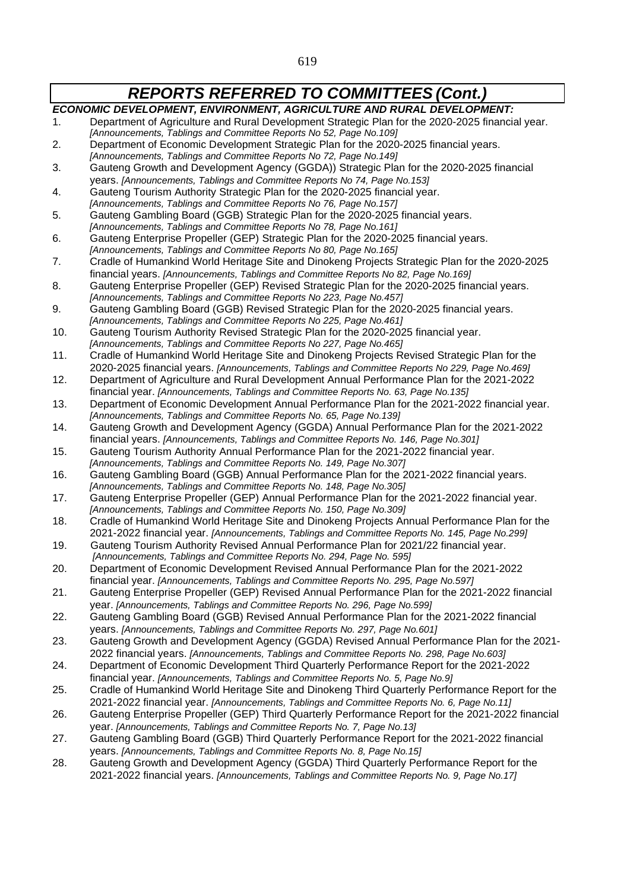619

# *REPORTS REFERRED TO COMMITTEES (Cont.)*

*ECONOMIC DEVELOPMENT, ENVIRONMENT, AGRICULTURE AND RURAL DEVELOPMENT:* 1. Department of Agriculture and Rural Development Strategic Plan for the 2020-2025 financial year. *[Announcements, Tablings and Committee Reports No 52, Page No.109]* 2. Department of Economic Development Strategic Plan for the 2020-2025 financial years. *[Announcements, Tablings and Committee Reports No 72, Page No.149]* 3. Gauteng Growth and Development Agency (GGDA)) Strategic Plan for the 2020-2025 financial years. *[Announcements, Tablings and Committee Reports No 74, Page No.153]* 4. Gauteng Tourism Authority Strategic Plan for the 2020-2025 financial year. *[Announcements, Tablings and Committee Reports No 76, Page No.157]* 5. Gauteng Gambling Board (GGB) Strategic Plan for the 2020-2025 financial years. *[Announcements, Tablings and Committee Reports No 78, Page No.161]* 6. Gauteng Enterprise Propeller (GEP) Strategic Plan for the 2020-2025 financial years. *[Announcements, Tablings and Committee Reports No 80, Page No.165]* 7. Cradle of Humankind World Heritage Site and Dinokeng Projects Strategic Plan for the 2020-2025 financial years. *[Announcements, Tablings and Committee Reports No 82, Page No.169]* 8. Gauteng Enterprise Propeller (GEP) Revised Strategic Plan for the 2020-2025 financial years. *[Announcements, Tablings and Committee Reports No 223, Page No.457]* 9. Gauteng Gambling Board (GGB) Revised Strategic Plan for the 2020-2025 financial years. *[Announcements, Tablings and Committee Reports No 225, Page No.461]* 10. Gauteng Tourism Authority Revised Strategic Plan for the 2020-2025 financial year. *[Announcements, Tablings and Committee Reports No 227, Page No.465]* 11. Cradle of Humankind World Heritage Site and Dinokeng Projects Revised Strategic Plan for the 2020-2025 financial years. *[Announcements, Tablings and Committee Reports No 229, Page No.469]* 12. Department of Agriculture and Rural Development Annual Performance Plan for the 2021-2022 financial year. *[Announcements, Tablings and Committee Reports No. 63, Page No.135]* 13. Department of Economic Development Annual Performance Plan for the 2021-2022 financial year. *[Announcements, Tablings and Committee Reports No. 65, Page No.139]* 14. Gauteng Growth and Development Agency (GGDA) Annual Performance Plan for the 2021-2022 financial years. *[Announcements, Tablings and Committee Reports No. 146, Page No.301]* 15. Gauteng Tourism Authority Annual Performance Plan for the 2021-2022 financial year. *[Announcements, Tablings and Committee Reports No. 149, Page No.307]* 16. Gauteng Gambling Board (GGB) Annual Performance Plan for the 2021-2022 financial years. *[Announcements, Tablings and Committee Reports No. 148, Page No.305]* 17. Gauteng Enterprise Propeller (GEP) Annual Performance Plan for the 2021-2022 financial year. *[Announcements, Tablings and Committee Reports No. 150, Page No.309]* 18. Cradle of Humankind World Heritage Site and Dinokeng Projects Annual Performance Plan for the 2021-2022 financial year. *[Announcements, Tablings and Committee Reports No. 145, Page No.299]* 19. Gauteng Tourism Authority Revised Annual Performance Plan for 2021/22 financial year. *[Announcements, Tablings and Committee Reports No. 294, Page No. 595]* 20. Department of Economic Development Revised Annual Performance Plan for the 2021-2022 financial year. *[Announcements, Tablings and Committee Reports No. 295, Page No.597]* 21. Gauteng Enterprise Propeller (GEP) Revised Annual Performance Plan for the 2021-2022 financial year. *[Announcements, Tablings and Committee Reports No. 296, Page No.599]* 22. Gauteng Gambling Board (GGB) Revised Annual Performance Plan for the 2021-2022 financial years. *[Announcements, Tablings and Committee Reports No. 297, Page No.601]* 23. Gauteng Growth and Development Agency (GGDA) Revised Annual Performance Plan for the 2021- 2022 financial years. *[Announcements, Tablings and Committee Reports No. 298, Page No.603]* 24. Department of Economic Development Third Quarterly Performance Report for the 2021-2022 financial year. *[Announcements, Tablings and Committee Reports No. 5, Page No.9]* 25. Cradle of Humankind World Heritage Site and Dinokeng Third Quarterly Performance Report for the 2021-2022 financial year. *[Announcements, Tablings and Committee Reports No. 6, Page No.11]* 26. Gauteng Enterprise Propeller (GEP) Third Quarterly Performance Report for the 2021-2022 financial year. *[Announcements, Tablings and Committee Reports No. 7, Page No.13]* 27. Gauteng Gambling Board (GGB) Third Quarterly Performance Report for the 2021-2022 financial years. *[Announcements, Tablings and Committee Reports No. 8, Page No.15]* 28. Gauteng Growth and Development Agency (GGDA) Third Quarterly Performance Report for the 2021-2022 financial years. *[Announcements, Tablings and Committee Reports No. 9, Page No.17]*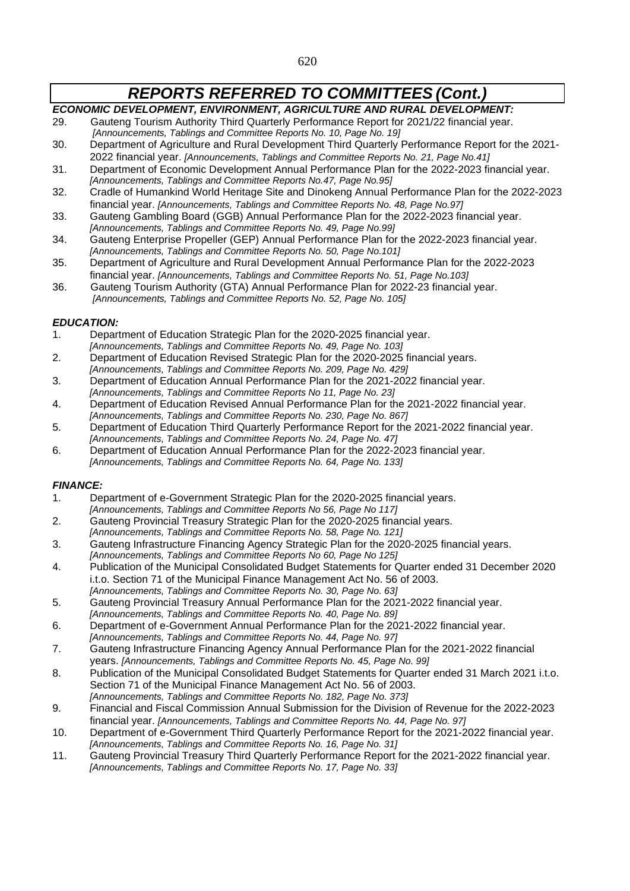### *ECONOMIC DEVELOPMENT, ENVIRONMENT, AGRICULTURE AND RURAL DEVELOPMENT:*

- 29. Gauteng Tourism Authority Third Quarterly Performance Report for 2021/22 financial year. *[Announcements, Tablings and Committee Reports No. 10, Page No. 19]*
- 30. Department of Agriculture and Rural Development Third Quarterly Performance Report for the 2021- 2022 financial year. *[Announcements, Tablings and Committee Reports No. 21, Page No.41]*
- 31. Department of Economic Development Annual Performance Plan for the 2022-2023 financial year. *[Announcements, Tablings and Committee Reports No.47, Page No.95]*
- 32. Cradle of Humankind World Heritage Site and Dinokeng Annual Performance Plan for the 2022-2023 financial year. *[Announcements, Tablings and Committee Reports No. 48, Page No.97]*
- 33. Gauteng Gambling Board (GGB) Annual Performance Plan for the 2022-2023 financial year. *[Announcements, Tablings and Committee Reports No. 49, Page No.99]*
- 34. Gauteng Enterprise Propeller (GEP) Annual Performance Plan for the 2022-2023 financial year. *[Announcements, Tablings and Committee Reports No. 50, Page No.101]*
- 35. Department of Agriculture and Rural Development Annual Performance Plan for the 2022-2023 financial year. *[Announcements, Tablings and Committee Reports No. 51, Page No.103]*
- 36. Gauteng Tourism Authority (GTA) Annual Performance Plan for 2022-23 financial year. *[Announcements, Tablings and Committee Reports No. 52, Page No. 105]*

### *EDUCATION:*

- 1. Department of Education Strategic Plan for the 2020-2025 financial year. *[Announcements, Tablings and Committee Reports No. 49, Page No. 103]*
- 2. Department of Education Revised Strategic Plan for the 2020-2025 financial years.
- *[Announcements, Tablings and Committee Reports No. 209, Page No. 429]*
- 3. Department of Education Annual Performance Plan for the 2021-2022 financial year. *[Announcements, Tablings and Committee Reports No 11, Page No. 23]*
- 4. Department of Education Revised Annual Performance Plan for the 2021-2022 financial year.
- *[Announcements, Tablings and Committee Reports No. 230, Page No. 867]* 5. Department of Education Third Quarterly Performance Report for the 2021-2022 financial year. *[Announcements, Tablings and Committee Reports No. 24, Page No. 47]*
- 6. Department of Education Annual Performance Plan for the 2022-2023 financial year. *[Announcements, Tablings and Committee Reports No. 64, Page No. 133]*

### *FINANCE:*

- 1. Department of e-Government Strategic Plan for the 2020-2025 financial years. *[Announcements, Tablings and Committee Reports No 56, Page No 117]*
- 2. Gauteng Provincial Treasury Strategic Plan for the 2020-2025 financial years. *[Announcements, Tablings and Committee Reports No. 58, Page No. 121]*
- 3. Gauteng Infrastructure Financing Agency Strategic Plan for the 2020-2025 financial years. *[Announcements, Tablings and Committee Reports No 60, Page No 125]*
- 4. Publication of the Municipal Consolidated Budget Statements for Quarter ended 31 December 2020 i.t.o. Section 71 of the Municipal Finance Management Act No. 56 of 2003.
- *[Announcements, Tablings and Committee Reports No. 30, Page No. 63]* 5. Gauteng Provincial Treasury Annual Performance Plan for the 2021-2022 financial year.
- *[Announcements, Tablings and Committee Reports No. 40, Page No. 89]*
- 6. Department of e-Government Annual Performance Plan for the 2021-2022 financial year. *[Announcements, Tablings and Committee Reports No. 44, Page No. 97]*
- 7. Gauteng Infrastructure Financing Agency Annual Performance Plan for the 2021-2022 financial years. *[Announcements, Tablings and Committee Reports No. 45, Page No. 99]*
- 8. Publication of the Municipal Consolidated Budget Statements for Quarter ended 31 March 2021 i.t.o. Section 71 of the Municipal Finance Management Act No. 56 of 2003. *[Announcements, Tablings and Committee Reports No. 182, Page No. 373]*
- 9. Financial and Fiscal Commission Annual Submission for the Division of Revenue for the 2022-2023 financial year. *[Announcements, Tablings and Committee Reports No. 44, Page No. 97]*
- 10. Department of e-Government Third Quarterly Performance Report for the 2021-2022 financial year. *[Announcements, Tablings and Committee Reports No. 16, Page No. 31]*
- 11. Gauteng Provincial Treasury Third Quarterly Performance Report for the 2021-2022 financial year. *[Announcements, Tablings and Committee Reports No. 17, Page No. 33]*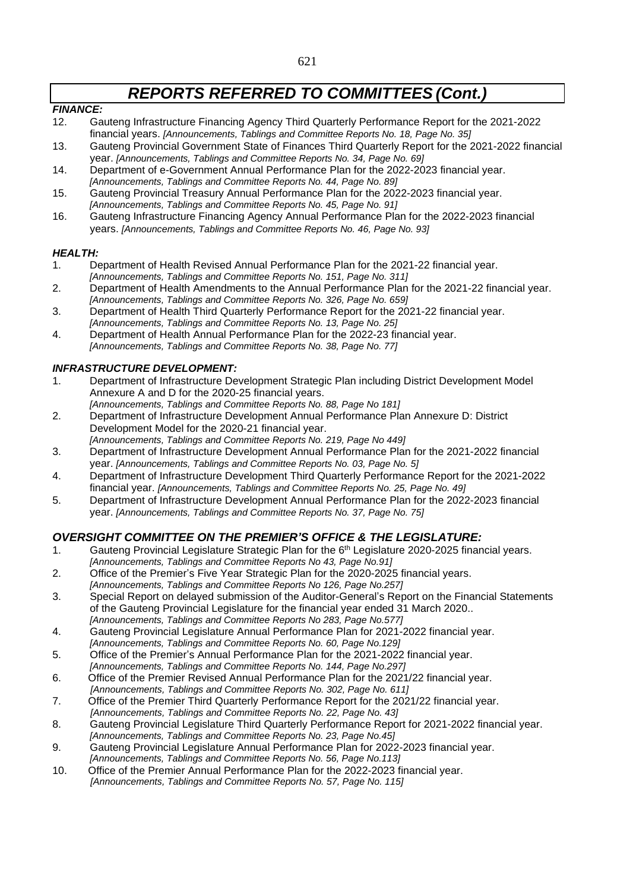### *FINANCE:*

- 12. Gauteng Infrastructure Financing Agency Third Quarterly Performance Report for the 2021-2022 financial years. *[Announcements, Tablings and Committee Reports No. 18, Page No. 35]*
- 13. Gauteng Provincial Government State of Finances Third Quarterly Report for the 2021-2022 financial year. *[Announcements, Tablings and Committee Reports No. 34, Page No. 69]*
- 14. Department of e-Government Annual Performance Plan for the 2022-2023 financial year. *[Announcements, Tablings and Committee Reports No. 44, Page No. 89]*
- 15. Gauteng Provincial Treasury Annual Performance Plan for the 2022-2023 financial year. *[Announcements, Tablings and Committee Reports No. 45, Page No. 91]*
- 16. Gauteng Infrastructure Financing Agency Annual Performance Plan for the 2022-2023 financial years. *[Announcements, Tablings and Committee Reports No. 46, Page No. 93]*

### *HEALTH:*

- 1. Department of Health Revised Annual Performance Plan for the 2021-22 financial year. *[Announcements, Tablings and Committee Reports No. 151, Page No. 311]*
- 2. Department of Health Amendments to the Annual Performance Plan for the 2021-22 financial year. *[Announcements, Tablings and Committee Reports No. 326, Page No. 659]*
- 3. Department of Health Third Quarterly Performance Report for the 2021-22 financial year. *[Announcements, Tablings and Committee Reports No. 13, Page No. 25]*
- 4. Department of Health Annual Performance Plan for the 2022-23 financial year. *[Announcements, Tablings and Committee Reports No. 38, Page No. 77]*

### *INFRASTRUCTURE DEVELOPMENT:*

- 1. Department of Infrastructure Development Strategic Plan including District Development Model Annexure A and D for the 2020-25 financial years.
- *[Announcements, Tablings and Committee Reports No. 88, Page No 181]* 2. Department of Infrastructure Development Annual Performance Plan Annexure D: District Development Model for the 2020-21 financial year.
- *[Announcements, Tablings and Committee Reports No. 219, Page No 449]* 3. Department of Infrastructure Development Annual Performance Plan for the 2021-2022 financial year. *[Announcements, Tablings and Committee Reports No. 03, Page No. 5]*
- 4. Department of Infrastructure Development Third Quarterly Performance Report for the 2021-2022 financial year. *[Announcements, Tablings and Committee Reports No. 25, Page No. 49]*
- 5. Department of Infrastructure Development Annual Performance Plan for the 2022-2023 financial year. *[Announcements, Tablings and Committee Reports No. 37, Page No. 75]*

### *OVERSIGHT COMMITTEE ON THE PREMIER'S OFFICE & THE LEGISLATURE:*

- 1. Gauteng Provincial Legislature Strategic Plan for the 6<sup>th</sup> Legislature 2020-2025 financial years.
- *[Announcements, Tablings and Committee Reports No 43, Page No.91]* 2. Office of the Premier's Five Year Strategic Plan for the 2020-2025 financial years.
- *[Announcements, Tablings and Committee Reports No 126, Page No.257]* 3. Special Report on delayed submission of the Auditor-General's Report on the Financial Statements of the Gauteng Provincial Legislature for the financial year ended 31 March 2020..
- *[Announcements, Tablings and Committee Reports No 283, Page No.577]* 4. Gauteng Provincial Legislature Annual Performance Plan for 2021-2022 financial year.
- *[Announcements, Tablings and Committee Reports No. 60, Page No.129]* 5. Office of the Premier's Annual Performance Plan for the 2021-2022 financial year.
- *[Announcements, Tablings and Committee Reports No. 144, Page No.297]*
- 6. Office of the Premier Revised Annual Performance Plan for the 2021/22 financial year. *[Announcements, Tablings and Committee Reports No. 302, Page No. 611]*
- 7. Office of the Premier Third Quarterly Performance Report for the 2021/22 financial year. *[Announcements, Tablings and Committee Reports No. 22, Page No. 43]*
- 8. Gauteng Provincial Legislature Third Quarterly Performance Report for 2021-2022 financial year. *[Announcements, Tablings and Committee Reports No. 23, Page No.45]*
- 9. Gauteng Provincial Legislature Annual Performance Plan for 2022-2023 financial year.
- *[Announcements, Tablings and Committee Reports No. 56, Page No.113]*
- 10. Office of the Premier Annual Performance Plan for the 2022-2023 financial year. *[Announcements, Tablings and Committee Reports No. 57, Page No. 115]*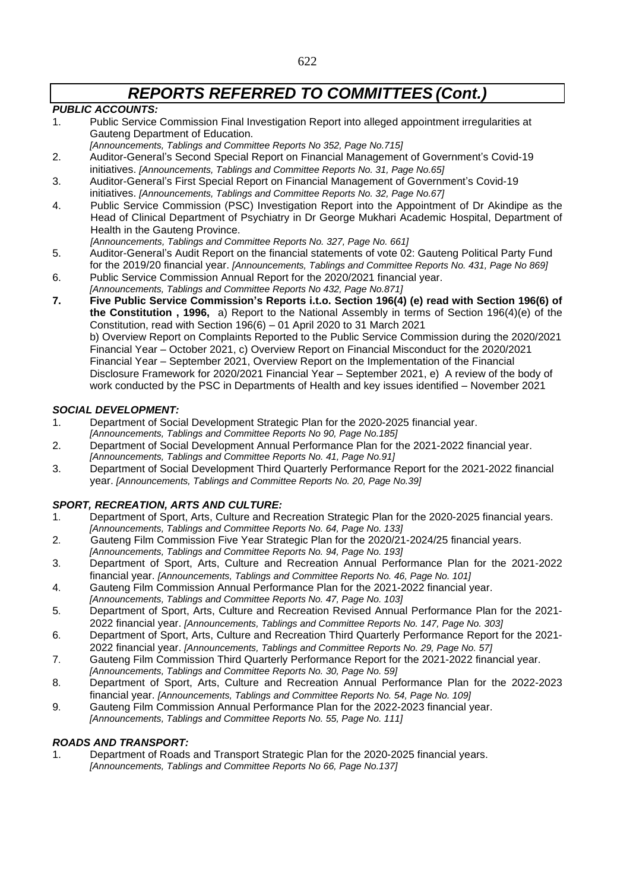### *PUBLIC ACCOUNTS:*

- 1. Public Service Commission Final Investigation Report into alleged appointment irregularities at Gauteng Department of Education.
- *[Announcements, Tablings and Committee Reports No 352, Page No.715]*
- 2. Auditor-General's Second Special Report on Financial Management of Government's Covid-19 initiatives. *[Announcements, Tablings and Committee Reports No. 31, Page No.65]*
- 3. Auditor-General's First Special Report on Financial Management of Government's Covid-19 initiatives. *[Announcements, Tablings and Committee Reports No. 32, Page No.67]*
- 4. Public Service Commission (PSC) Investigation Report into the Appointment of Dr Akindipe as the Head of Clinical Department of Psychiatry in Dr George Mukhari Academic Hospital, Department of Health in the Gauteng Province.
	- *[Announcements, Tablings and Committee Reports No. 327, Page No. 661]*
- 5. Auditor-General's Audit Report on the financial statements of vote 02: Gauteng Political Party Fund for the 2019/20 financial year. *[Announcements, Tablings and Committee Reports No. 431, Page No 869]*
- 6. Public Service Commission Annual Report for the 2020/2021 financial year. *[Announcements, Tablings and Committee Reports No 432, Page No.871]*
- **7. Five Public Service Commission's Reports i.t.o. Section 196(4) (e) read with Section 196(6) of the Constitution , 1996,** a) Report to the National Assembly in terms of Section 196(4)(e) of the Constitution, read with Section 196(6) – 01 April 2020 to 31 March 2021 b) Overview Report on Complaints Reported to the Public Service Commission during the 2020/2021 Financial Year – October 2021, c) Overview Report on Financial Misconduct for the 2020/2021 Financial Year – September 2021, Overview Report on the Implementation of the Financial Disclosure Framework for 2020/2021 Financial Year – September 2021, e) A review of the body of work conducted by the PSC in Departments of Health and key issues identified – November 2021

### *SOCIAL DEVELOPMENT:*

- 1. Department of Social Development Strategic Plan for the 2020-2025 financial year.
- *[Announcements, Tablings and Committee Reports No 90, Page No.185]*
- 2. Department of Social Development Annual Performance Plan for the 2021-2022 financial year. *[Announcements, Tablings and Committee Reports No. 41, Page No.91]*
- 3. Department of Social Development Third Quarterly Performance Report for the 2021-2022 financial year. *[Announcements, Tablings and Committee Reports No. 20, Page No.39]*

### *SPORT, RECREATION, ARTS AND CULTURE:*

- 1. Department of Sport, Arts, Culture and Recreation Strategic Plan for the 2020-2025 financial years. *[Announcements, Tablings and Committee Reports No. 64, Page No. 133]*
- 2. Gauteng Film Commission Five Year Strategic Plan for the 2020/21-2024/25 financial years.
- *[Announcements, Tablings and Committee Reports No. 94, Page No. 193]*
- 3. Department of Sport, Arts, Culture and Recreation Annual Performance Plan for the 2021-2022 financial year. *[Announcements, Tablings and Committee Reports No. 46, Page No. 101]*
- 4. Gauteng Film Commission Annual Performance Plan for the 2021-2022 financial year.
- *[Announcements, Tablings and Committee Reports No. 47, Page No. 103]*
- 5. Department of Sport, Arts, Culture and Recreation Revised Annual Performance Plan for the 2021- 2022 financial year. *[Announcements, Tablings and Committee Reports No. 147, Page No. 303]*
- 6. Department of Sport, Arts, Culture and Recreation Third Quarterly Performance Report for the 2021- 2022 financial year. *[Announcements, Tablings and Committee Reports No. 29, Page No. 57]*
- 7. Gauteng Film Commission Third Quarterly Performance Report for the 2021-2022 financial year. *[Announcements, Tablings and Committee Reports No. 30, Page No. 59]*
- 8. Department of Sport, Arts, Culture and Recreation Annual Performance Plan for the 2022-2023 financial year. *[Announcements, Tablings and Committee Reports No. 54, Page No. 109]*
- 9. Gauteng Film Commission Annual Performance Plan for the 2022-2023 financial year. *[Announcements, Tablings and Committee Reports No. 55, Page No. 111]*

### *ROADS AND TRANSPORT:*

1. Department of Roads and Transport Strategic Plan for the 2020-2025 financial years. *[Announcements, Tablings and Committee Reports No 66, Page No.137]*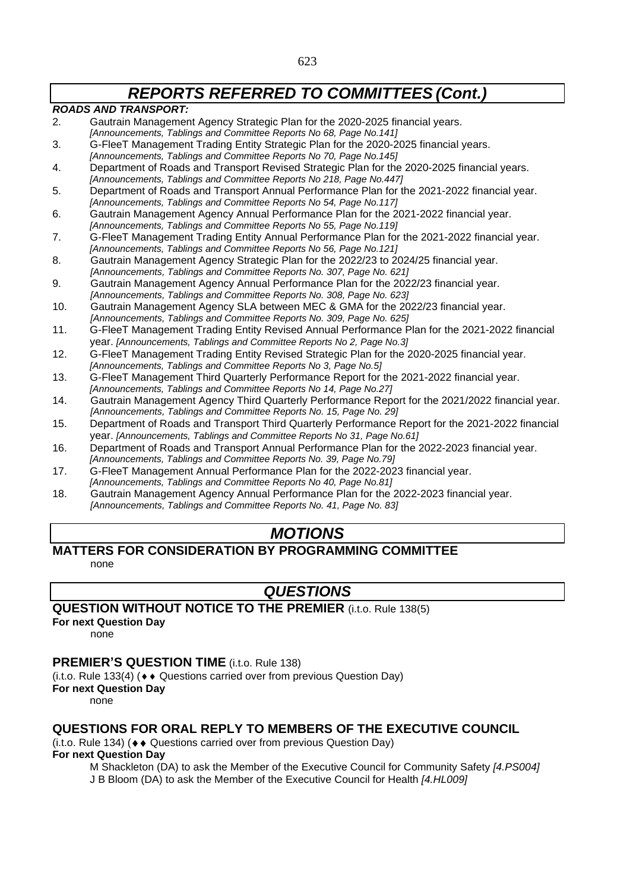### *ROADS AND TRANSPORT:*

- 2. Gautrain Management Agency Strategic Plan for the 2020-2025 financial years. *[Announcements, Tablings and Committee Reports No 68, Page No.141]*
- 3. G-FleeT Management Trading Entity Strategic Plan for the 2020-2025 financial years. *[Announcements, Tablings and Committee Reports No 70, Page No.145]*
- 4. Department of Roads and Transport Revised Strategic Plan for the 2020-2025 financial years. *[Announcements, Tablings and Committee Reports No 218, Page No.447]*
- 5. Department of Roads and Transport Annual Performance Plan for the 2021-2022 financial year. *[Announcements, Tablings and Committee Reports No 54, Page No.117]*
- 6. Gautrain Management Agency Annual Performance Plan for the 2021-2022 financial year. *[Announcements, Tablings and Committee Reports No 55, Page No.119]*
- 7. G-FleeT Management Trading Entity Annual Performance Plan for the 2021-2022 financial year. *[Announcements, Tablings and Committee Reports No 56, Page No.121]*
- 8. Gautrain Management Agency Strategic Plan for the 2022/23 to 2024/25 financial year. *[Announcements, Tablings and Committee Reports No. 307, Page No. 621]*
- 9. Gautrain Management Agency Annual Performance Plan for the 2022/23 financial year. *[Announcements, Tablings and Committee Reports No. 308, Page No. 623]*
- 10. Gautrain Management Agency SLA between MEC & GMA for the 2022/23 financial year. *[Announcements, Tablings and Committee Reports No. 309, Page No. 625]*
- 11. G-FleeT Management Trading Entity Revised Annual Performance Plan for the 2021-2022 financial year. *[Announcements, Tablings and Committee Reports No 2, Page No.3]*
- 12. G-FleeT Management Trading Entity Revised Strategic Plan for the 2020-2025 financial year. *[Announcements, Tablings and Committee Reports No 3, Page No.5]*
- 13. G-FleeT Management Third Quarterly Performance Report for the 2021-2022 financial year. *[Announcements, Tablings and Committee Reports No 14, Page No.27]*
- 14. Gautrain Management Agency Third Quarterly Performance Report for the 2021/2022 financial year. *[Announcements, Tablings and Committee Reports No. 15, Page No. 29]*
- 15. Department of Roads and Transport Third Quarterly Performance Report for the 2021-2022 financial year. *[Announcements, Tablings and Committee Reports No 31, Page No.61]*
- 16. Department of Roads and Transport Annual Performance Plan for the 2022-2023 financial year. *[Announcements, Tablings and Committee Reports No. 39, Page No.79]*
- 17. G-FleeT Management Annual Performance Plan for the 2022-2023 financial year. *[Announcements, Tablings and Committee Reports No 40, Page No.81]*
- 18. Gautrain Management Agency Annual Performance Plan for the 2022-2023 financial year. *[Announcements, Tablings and Committee Reports No. 41, Page No. 83]*

### *MOTIONS*

### **MATTERS FOR CONSIDERATION BY PROGRAMMING COMMITTEE**

none

### *QUESTIONS*

### **QUESTION WITHOUT NOTICE TO THE PREMIER** (i.t.o. Rule 138(5)

**For next Question Day**

none

### **PREMIER'S QUESTION TIME** (i.t.o. Rule 138)

(i.t.o. Rule 133(4) ( $\leftrightarrow$  Questions carried over from previous Question Day)

### **For next Question Day**

none

### **QUESTIONS FOR ORAL REPLY TO MEMBERS OF THE EXECUTIVE COUNCIL**

 $(i.t. o. Rule 134)$  ( $\leftrightarrow$  Questions carried over from previous Question Day)

**For next Question Day**

M Shackleton (DA) to ask the Member of the Executive Council for Community Safety *[4.PS004]* J B Bloom (DA) to ask the Member of the Executive Council for Health *[4.HL009]*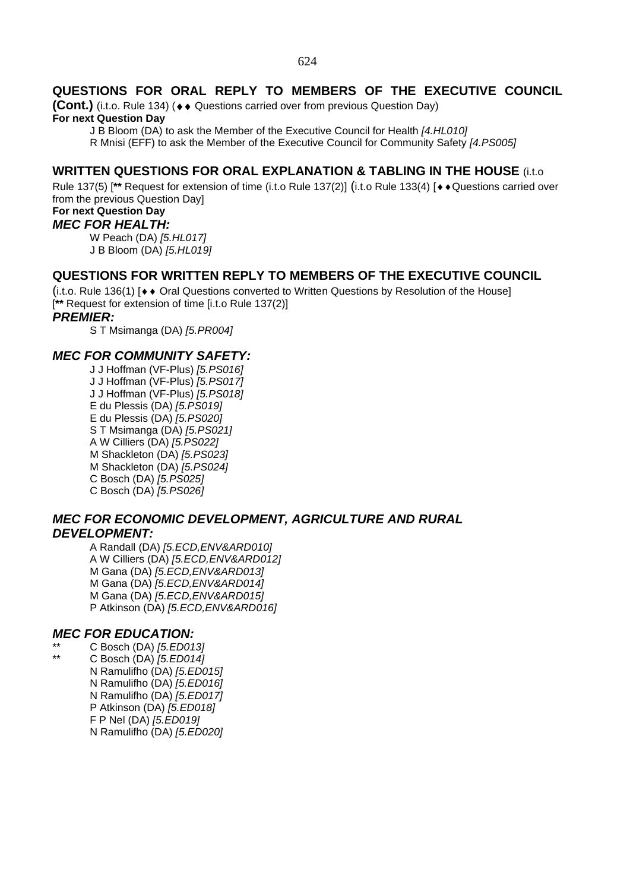### **QUESTIONS FOR ORAL REPLY TO MEMBERS OF THE EXECUTIVE COUNCIL**

**(Cont.)** (i.t.o. Rule 134) (♦ ♦ Questions carried over from previous Question Day)

### **For next Question Day**

J B Bloom (DA) to ask the Member of the Executive Council for Health *[4.HL010]*

R Mnisi (EFF) to ask the Member of the Executive Council for Community Safety *[4.PS005]*

### **WRITTEN QUESTIONS FOR ORAL EXPLANATION & TABLING IN THE HOUSE** (i.t.o

Rule 137(5) [<sup>\*\*</sup> Request for extension of time (i.t.o Rule 137(2)] (i.t.o Rule 133(4) [♦ ♦ Questions carried over from the previous Question Day]

### **For next Question Day**

*MEC FOR HEALTH:*

W Peach (DA) *[5.HL017]* J B Bloom (DA) *[5.HL019]*

### **QUESTIONS FOR WRITTEN REPLY TO MEMBERS OF THE EXECUTIVE COUNCIL**

 $(i.t.o. Rule 136(1)$  [ $\rightarrow$  Oral Questions converted to Written Questions by Resolution of the House] [**\*\*** Request for extension of time [i.t.o Rule 137(2)]

### *PREMIER:*

S T Msimanga (DA) *[5.PR004]*

### *MEC FOR COMMUNITY SAFETY:*

J J Hoffman (VF-Plus) *[5.PS016]* J J Hoffman (VF-Plus) *[5.PS017]* J J Hoffman (VF-Plus) *[5.PS018]* E du Plessis (DA) *[5.PS019]* E du Plessis (DA) *[5.PS020]* S T Msimanga (DA) *[5.PS021]* A W Cilliers (DA) *[5.PS022]* M Shackleton (DA) *[5.PS023]* M Shackleton (DA) *[5.PS024]* C Bosch (DA) *[5.PS025]* C Bosch (DA) *[5.PS026]*

### *MEC FOR ECONOMIC DEVELOPMENT, AGRICULTURE AND RURAL DEVELOPMENT:*

A Randall (DA) *[5.ECD,ENV&ARD010]* A W Cilliers (DA) *[5.ECD,ENV&ARD012]* M Gana (DA) *[5.ECD,ENV&ARD013]* M Gana (DA) *[5.ECD,ENV&ARD014]* M Gana (DA) *[5.ECD,ENV&ARD015]* P Atkinson (DA) *[5.ECD,ENV&ARD016]*

### *MEC FOR EDUCATION:*

- \*\* C Bosch (DA) *[5.ED013]*
	- \*\* C Bosch (DA) *[5.ED014]* N Ramulifho (DA) *[5.ED015]* N Ramulifho (DA) *[5.ED016]* N Ramulifho (DA) *[5.ED017]* P Atkinson (DA) *[5.ED018]*
		- F P Nel (DA) *[5.ED019]*
		- N Ramulifho (DA) *[5.ED020]*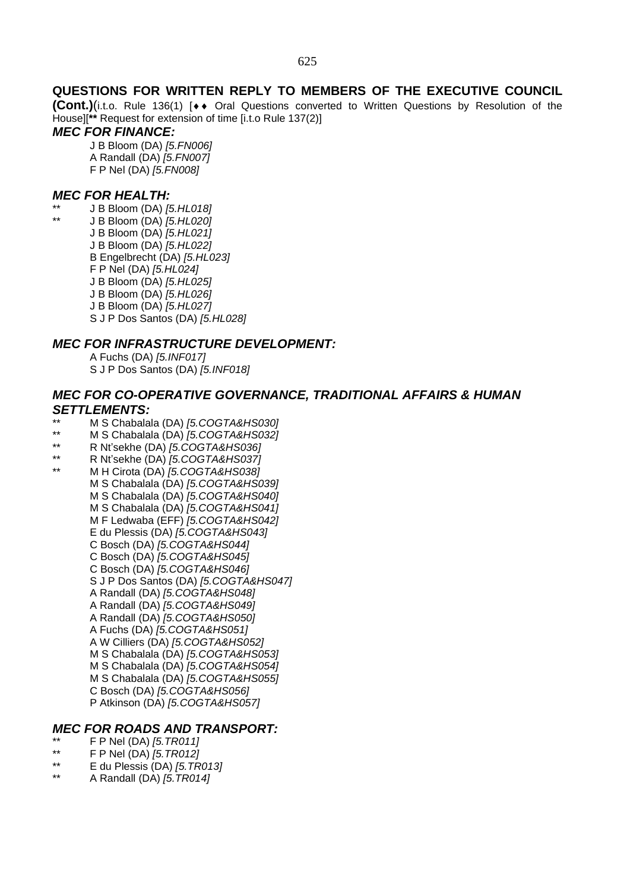### **QUESTIONS FOR WRITTEN REPLY TO MEMBERS OF THE EXECUTIVE COUNCIL**

**(Cont.)**(i.t.o. Rule 136(1) [◆◆ Oral Questions converted to Written Questions by Resolution of the House][**\*\*** Request for extension of time [i.t.o Rule 137(2)]

### *MEC FOR FINANCE:*

J B Bloom (DA) *[5.FN006]* A Randall (DA) *[5.FN007]* F P Nel (DA) *[5.FN008]*

### *MEC FOR HEALTH:*

- \*\* J B Bloom (DA) *[5.HL018]*
	- \*\* J B Bloom (DA) *[5.HL020]*
		- J B Bloom (DA) *[5.HL021]*
		- J B Bloom (DA) *[5.HL022]*
		- B Engelbrecht (DA) *[5.HL023]*
		- F P Nel (DA) *[5.HL024]*
		- J B Bloom (DA) *[5.HL025]*
		- J B Bloom (DA) *[5.HL026]*
		- J B Bloom (DA) *[5.HL027]*
		- S J P Dos Santos (DA) *[5.HL028]*

### *MEC FOR INFRASTRUCTURE DEVELOPMENT:*

A Fuchs (DA) *[5.INF017]* S J P Dos Santos (DA) *[5.INF018]*

### *MEC FOR CO-OPERATIVE GOVERNANCE, TRADITIONAL AFFAIRS & HUMAN SETTLEMENTS:*

- \*\* M S Chabalala (DA) *[5.COGTA&HS030]*
- \*\* M S Chabalala (DA) *[5.COGTA&HS032]*
- \*\* R Nt'sekhe (DA) *[5.COGTA&HS036]*
- \*\* R Nt'sekhe (DA) *[5.COGTA&HS037]*
- \*\* M H Cirota (DA) *[5.COGTA&HS038]* M S Chabalala (DA) *[5.COGTA&HS039]* M S Chabalala (DA) *[5.COGTA&HS040]* M S Chabalala (DA) *[5.COGTA&HS041]* M F Ledwaba (EFF) *[5.COGTA&HS042]* E du Plessis (DA) *[5.COGTA&HS043]* C Bosch (DA) *[5.COGTA&HS044]* C Bosch (DA) *[5.COGTA&HS045]* C Bosch (DA) *[5.COGTA&HS046]* S J P Dos Santos (DA) *[5.COGTA&HS047]* A Randall (DA) *[5.COGTA&HS048]* A Randall (DA) *[5.COGTA&HS049]* A Randall (DA) *[5.COGTA&HS050]* A Fuchs (DA) *[5.COGTA&HS051]* A W Cilliers (DA) *[5.COGTA&HS052]* M S Chabalala (DA) *[5.COGTA&HS053]* M S Chabalala (DA) *[5.COGTA&HS054]* M S Chabalala (DA) *[5.COGTA&HS055]* C Bosch (DA) *[5.COGTA&HS056]* P Atkinson (DA) *[5.COGTA&HS057]*

### *MEC FOR ROADS AND TRANSPORT:*

- \*\* F P Nel (DA) *[5.TR011]*
- \*\* F P Nel (DA) *[5.TR012]*
- \*\* E du Plessis (DA) *[5.TR013]*
- \*\* A Randall (DA) *[5.TR014]*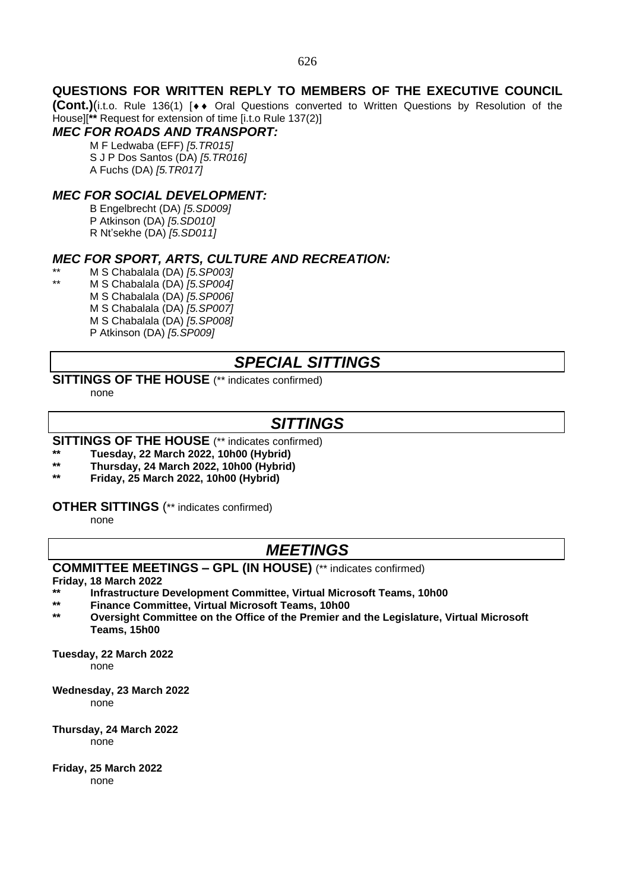### **QUESTIONS FOR WRITTEN REPLY TO MEMBERS OF THE EXECUTIVE COUNCIL**

**(Cont.)**(i.t.o. Rule 136(1) [♦♦ Oral Questions converted to Written Questions by Resolution of the House][**\*\*** Request for extension of time [i.t.o Rule 137(2)]

### *MEC FOR ROADS AND TRANSPORT:*

M F Ledwaba (EFF) *[5.TR015]* S J P Dos Santos (DA) *[5.TR016]* A Fuchs (DA) *[5.TR017]*

### *MEC FOR SOCIAL DEVELOPMENT:*

B Engelbrecht (DA) *[5.SD009]* P Atkinson (DA) *[5.SD010]* R Nt'sekhe (DA) *[5.SD011]*

### *MEC FOR SPORT, ARTS, CULTURE AND RECREATION:*

- \*\* M S Chabalala (DA) *[5.SP003]*
- \*\* M S Chabalala (DA) *[5.SP004]* M S Chabalala (DA) *[5.SP006]* M S Chabalala (DA) *[5.SP007]* M S Chabalala (DA) *[5.SP008]*
	- P Atkinson (DA) *[5.SP009]*

### *SPECIAL SITTINGS*

### **SITTINGS OF THE HOUSE** (\*\* indicates confirmed)

none

### *SITTINGS*

### **SITTINGS OF THE HOUSE** (\*\* indicates confirmed)

- **\*\* Tuesday, 22 March 2022, 10h00 (Hybrid)**
- **\*\* Thursday, 24 March 2022, 10h00 (Hybrid)**
- **\*\* Friday, 25 March 2022, 10h00 (Hybrid)**

### **OTHER SITTINGS** (\*\* indicates confirmed)

none

### *MEETINGS*

### **COMMITTEE MEETINGS – GPL (IN HOUSE)** (\*\* indicates confirmed)

**Friday, 18 March 2022**

- **\*\* Infrastructure Development Committee, Virtual Microsoft Teams, 10h00**
- **\*\* Finance Committee, Virtual Microsoft Teams, 10h00**
- **\*\* Oversight Committee on the Office of the Premier and the Legislature, Virtual Microsoft Teams, 15h00**

**Tuesday, 22 March 2022** none

**Wednesday, 23 March 2022** none

#### **Thursday, 24 March 2022** none

**Friday, 25 March 2022**

none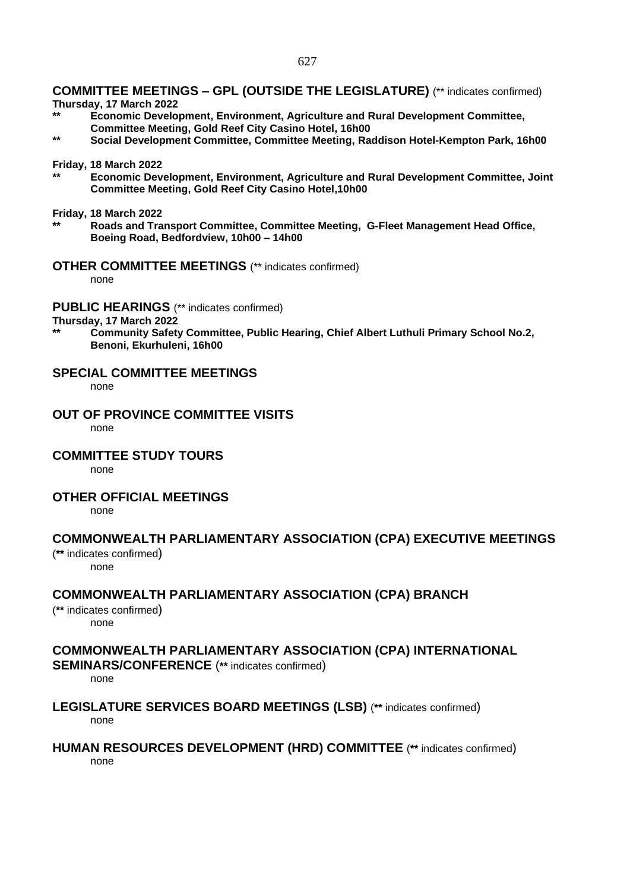### **COMMITTEE MEETINGS – GPL (OUTSIDE THE LEGISLATURE)** (\*\* indicates confirmed)

#### **Thursday, 17 March 2022**

- **\*\* Economic Development, Environment, Agriculture and Rural Development Committee, Committee Meeting, Gold Reef City Casino Hotel, 16h00**
- **\*\* Social Development Committee, Committee Meeting, Raddison Hotel-Kempton Park, 16h00**

#### **Friday, 18 March 2022**

**\*\* Economic Development, Environment, Agriculture and Rural Development Committee, Joint Committee Meeting, Gold Reef City Casino Hotel,10h00** 

#### **Friday, 18 March 2022**

- **\*\* Roads and Transport Committee, Committee Meeting, G-Fleet Management Head Office, Boeing Road, Bedfordview, 10h00 – 14h00**
- **OTHER COMMITTEE MEETINGS** (\*\* indicates confirmed)

none

### **PUBLIC HEARINGS** (\*\* indicates confirmed)

#### **Thursday, 17 March 2022**

**\*\* Community Safety Committee, Public Hearing, Chief Albert Luthuli Primary School No.2, Benoni, Ekurhuleni, 16h00**

### **SPECIAL COMMITTEE MEETINGS**

none

### **OUT OF PROVINCE COMMITTEE VISITS**

none

### **COMMITTEE STUDY TOURS**

none

### **OTHER OFFICIAL MEETINGS**

none

### **COMMONWEALTH PARLIAMENTARY ASSOCIATION (CPA) EXECUTIVE MEETINGS**

(**\*\*** indicates confirmed) none

### **COMMONWEALTH PARLIAMENTARY ASSOCIATION (CPA) BRANCH**

(**\*\*** indicates confirmed) none

### **COMMONWEALTH PARLIAMENTARY ASSOCIATION (CPA) INTERNATIONAL**

**SEMINARS/CONFERENCE** (**\*\*** indicates confirmed)

none

# **LEGISLATURE SERVICES BOARD MEETINGS (LSB)** (**\*\*** indicates confirmed)

none

### **HUMAN RESOURCES DEVELOPMENT (HRD) COMMITTEE** (**\*\*** indicates confirmed)

none